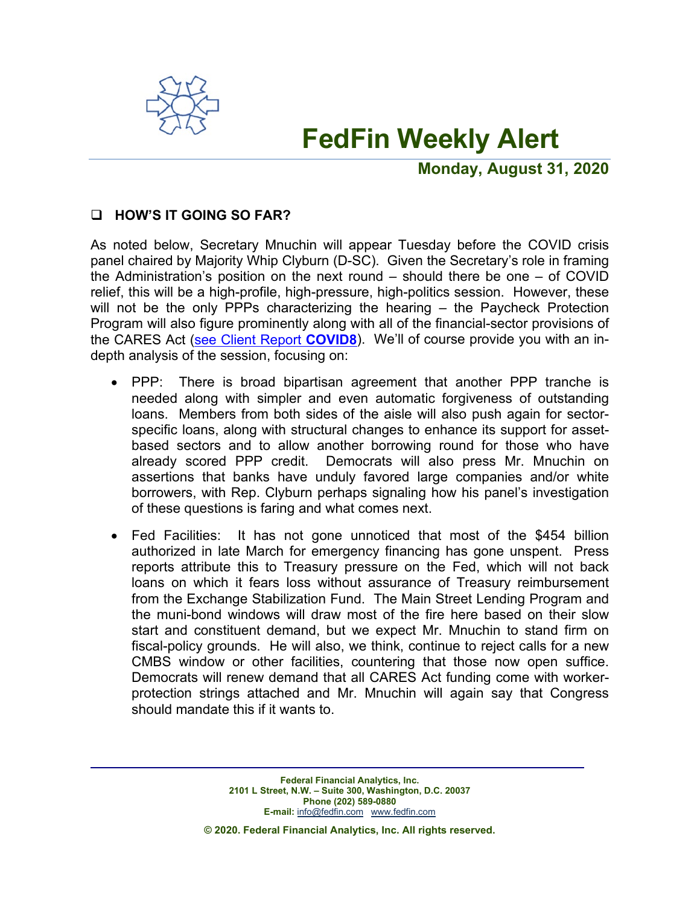

# **FedFin Weekly Alert**

**Monday, August 31, 2020**

## **HOW'S IT GOING SO FAR?**

As noted below, Secretary Mnuchin will appear Tuesday before the COVID crisis panel chaired by Majority Whip Clyburn (D-SC). Given the Secretary's role in framing the Administration's position on the next round – should there be one – of COVID relief, this will be a high-profile, high-pressure, high-politics session. However, these will not be the only PPPs characterizing the hearing – the Paycheck Protection Program will also figure prominently along with all of the financial-sector provisions of the CARES Act (see [Client Report](https://fedfin.com/wp-content/uploads/2020/03/covid8.pdf) **COVID8**). We'll of course provide you with an indepth analysis of the session, focusing on:

- PPP: There is broad bipartisan agreement that another PPP tranche is needed along with simpler and even automatic forgiveness of outstanding loans. Members from both sides of the aisle will also push again for sectorspecific loans, along with structural changes to enhance its support for assetbased sectors and to allow another borrowing round for those who have already scored PPP credit. Democrats will also press Mr. Mnuchin on assertions that banks have unduly favored large companies and/or white borrowers, with Rep. Clyburn perhaps signaling how his panel's investigation of these questions is faring and what comes next.
- Fed Facilities: It has not gone unnoticed that most of the \$454 billion authorized in late March for emergency financing has gone unspent. Press reports attribute this to Treasury pressure on the Fed, which will not back loans on which it fears loss without assurance of Treasury reimbursement from the Exchange Stabilization Fund. The Main Street Lending Program and the muni-bond windows will draw most of the fire here based on their slow start and constituent demand, but we expect Mr. Mnuchin to stand firm on fiscal-policy grounds. He will also, we think, continue to reject calls for a new CMBS window or other facilities, countering that those now open suffice. Democrats will renew demand that all CARES Act funding come with workerprotection strings attached and Mr. Mnuchin will again say that Congress should mandate this if it wants to.

**© 2020. Federal Financial Analytics, Inc. All rights reserved.**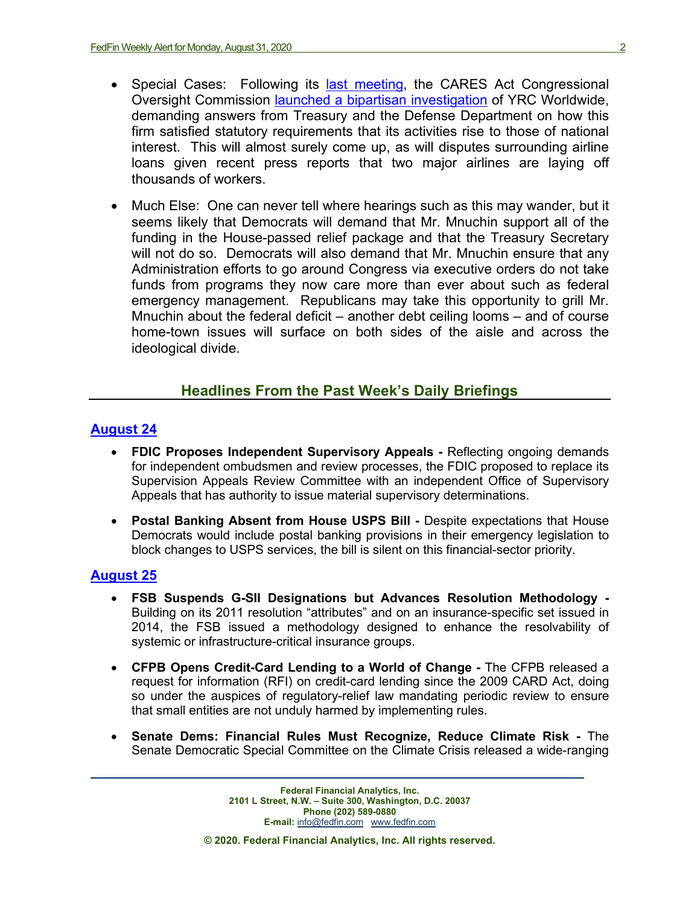- Special Cases: Following its [last meeting,](https://fedfin.com/wp-content/uploads/2020/08/Daily080720.pdf) the CARES Act Congressional Oversight Commission [launched a bipartisan investigation](https://fedfin.com/wp-content/uploads/2020/08/Daily082120.pdf) of YRC Worldwide, demanding answers from Treasury and the Defense Department on how this firm satisfied statutory requirements that its activities rise to those of national interest. This will almost surely come up, as will disputes surrounding airline loans given recent press reports that two major airlines are laying off thousands of workers.
- Much Else: One can never tell where hearings such as this may wander, but it seems likely that Democrats will demand that Mr. Mnuchin support all of the funding in the House-passed relief package and that the Treasury Secretary will not do so. Democrats will also demand that Mr. Mnuchin ensure that any Administration efforts to go around Congress via executive orders do not take funds from programs they now care more than ever about such as federal emergency management. Republicans may take this opportunity to grill Mr. Mnuchin about the federal deficit – another debt ceiling looms – and of course home-town issues will surface on both sides of the aisle and across the ideological divide.

# **Headlines From the Past Week's Daily Briefings**

## **[August 24](https://fedfin.com/wp-content/uploads/2020/08/Daily082420.pdf)**

- **FDIC Proposes Independent Supervisory Appeals -** Reflecting ongoing demands for independent ombudsmen and review processes, the FDIC proposed to replace its Supervision Appeals Review Committee with an independent Office of Supervisory Appeals that has authority to issue material supervisory determinations.
- **Postal Banking Absent from House USPS Bill -** Despite expectations that House Democrats would include postal banking provisions in their emergency legislation to block changes to USPS services, the bill is silent on this financial-sector priority.

## **[August](https://fedfin.com/wp-content/uploads/2020/08/Daily082520.pdf) 25**

- **FSB Suspends G-SII Designations but Advances Resolution Methodology -** Building on its 2011 resolution "attributes" and on an insurance-specific set issued in 2014, the FSB issued a methodology designed to enhance the resolvability of systemic or infrastructure-critical insurance groups.
- **CFPB Opens Credit-Card Lending to a World of Change -** The CFPB released a request for information (RFI) on credit-card lending since the 2009 CARD Act, doing so under the auspices of regulatory-relief law mandating periodic review to ensure that small entities are not unduly harmed by implementing rules.
- **Senate Dems: Financial Rules Must Recognize, Reduce Climate Risk -** The Senate Democratic Special Committee on the Climate Crisis released a wide-ranging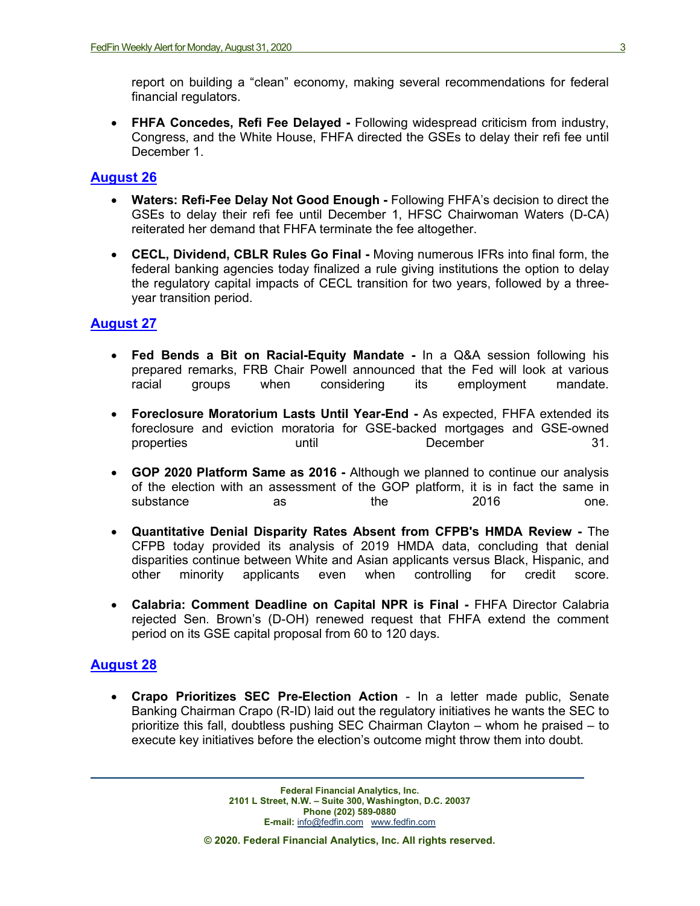report on building a "clean" economy, making several recommendations for federal financial regulators.

• **FHFA Concedes, Refi Fee Delayed -** Following widespread criticism from industry, Congress, and the White House, FHFA directed the GSEs to delay their refi fee until December 1.

### **[August](https://fedfin.com/wp-content/uploads/2020/08/Daily082620.pdf) 26**

- **Waters: Refi-Fee Delay Not Good Enough -** Following FHFA's decision to direct the GSEs to delay their refi fee until December 1, HFSC Chairwoman Waters (D-CA) reiterated her demand that FHFA terminate the fee altogether.
- **CECL, Dividend, CBLR Rules Go Final -** Moving numerous IFRs into final form, the federal banking agencies today finalized a rule giving institutions the option to delay the regulatory capital impacts of CECL transition for two years, followed by a threeyear transition period.

#### **[August](https://fedfin.com/wp-content/uploads/2020/08/Daily082720.pdf) 27**

- **Fed Bends a Bit on Racial-Equity Mandate -** In a Q&A session following his prepared remarks, FRB Chair Powell announced that the Fed will look at various racial groups when considering its employment mandate.
- **Foreclosure Moratorium Lasts Until Year-End -** As expected, FHFA extended its foreclosure and eviction moratoria for GSE-backed mortgages and GSE-owned properties **b** until **December** 21.
- **GOP 2020 Platform Same as 2016 -** Although we planned to continue our analysis of the election with an assessment of the GOP platform, it is in fact the same in substance as the 2016 one.
- **Quantitative Denial Disparity Rates Absent from CFPB's HMDA Review -** The CFPB today provided its analysis of 2019 HMDA data, concluding that denial disparities continue between White and Asian applicants versus Black, Hispanic, and other minority applicants even when controlling for credit score.
- **Calabria: Comment Deadline on Capital NPR is Final -** FHFA Director Calabria rejected Sen. Brown's (D-OH) renewed request that FHFA extend the comment period on its GSE capital proposal from 60 to 120 days.

#### **[August](https://fedfin.com/wp-content/uploads/2020/08/Daily082820.pdf) 28**

• **Crapo Prioritizes SEC Pre-Election Action** - In a letter made public, Senate Banking Chairman Crapo (R-ID) laid out the regulatory initiatives he wants the SEC to prioritize this fall, doubtless pushing SEC Chairman Clayton – whom he praised – to execute key initiatives before the election's outcome might throw them into doubt.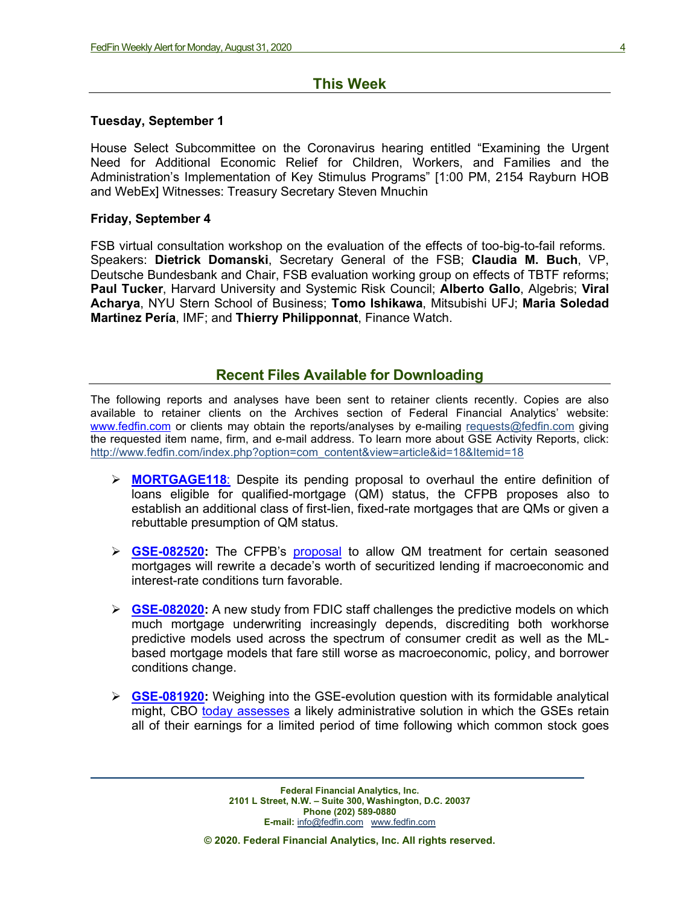### **This Week**

#### **Tuesday, September 1**

House Select Subcommittee on the Coronavirus hearing entitled "Examining the Urgent Need for Additional Economic Relief for Children, Workers, and Families and the Administration's Implementation of Key Stimulus Programs" [1:00 PM, 2154 Rayburn HOB and WebEx] Witnesses: Treasury Secretary Steven Mnuchin

#### **Friday, September 4**

FSB virtual consultation workshop on the evaluation of the effects of too-big-to-fail reforms. Speakers: **Dietrick Domanski**, Secretary General of the FSB; **Claudia M. Buch**, VP, Deutsche Bundesbank and Chair, FSB evaluation working group on effects of TBTF reforms; **Paul Tucker**, Harvard University and Systemic Risk Council; **Alberto Gallo**, Algebris; **Viral Acharya**, NYU Stern School of Business; **Tomo Ishikawa**, Mitsubishi UFJ; **Maria Soledad Martinez Pería**, IMF; and **Thierry Philipponnat**, Finance Watch.

#### **Recent Files Available for Downloading**

The following reports and analyses have been sent to retainer clients recently. Copies are also available to retainer clients on the Archives section of Federal Financial Analytics' website: [www.fedfin.com](http://www.fedfin.com/) or clients may obtain the reports/analyses by e-mailing [requests@fedfin.com](mailto:requests@fedfin.com) giving the requested item name, firm, and e-mail address. To learn more about GSE Activity Reports, click: [http://www.fedfin.com/index.php?option=com\\_content&view=article&id=18&Itemid=18](http://www.fedfin.com/index.php?option=com_content&view=article&id=18&Itemid=18)

- **[MORTGAGE118](https://fedfin.com/wp-content/uploads/2020/08/MORTGAGE118.pdf)**: Despite its pending proposal to overhaul the entire definition of loans eligible for qualified-mortgage (QM) status, the CFPB proposes also to establish an additional class of first-lien, fixed-rate mortgages that are QMs or given a rebuttable presumption of QM status.
- **[GSE-082520:](https://fedfin.com/wp-content/uploads/2020/08/GSE-041818.pdf)** The CFPB's [proposal](https://files.consumerfinance.gov/f/documents/cfpb_proposed-rule_seasoned-qm-loan-definition_2020-08.pdf) to allow QM treatment for certain seasoned mortgages will rewrite a decade's worth of securitized lending if macroeconomic and interest-rate conditions turn favorable.
- **SCE-082020:** A new study from FDIC staff challenges the predictive models on which much mortgage underwriting increasingly depends, discrediting both workhorse predictive models used across the spectrum of consumer credit as well as the MLbased mortgage models that fare still worse as macroeconomic, policy, and borrower conditions change.
- **[GSE-081920:](https://fedfin.com/wp-content/uploads/2020/08/GSE-081920.pdf)** Weighing into the GSE-evolution question with its formidable analytical might, CBO [today assesses](https://www.cbo.gov/system/files/2020-08/56496-GSE.pdf) a likely administrative solution in which the GSEs retain all of their earnings for a limited period of time following which common stock goes